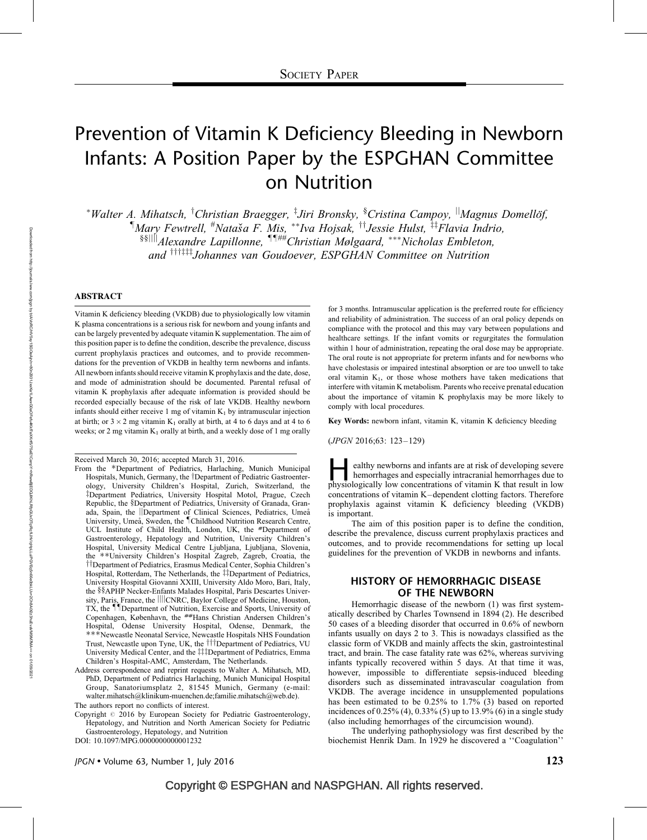# Prevention of Vitamin K Deficiency Bleeding in Newborn Infants: A Position Paper by the ESPGHAN Committee on Nutrition

\*Walter A. Mihatsch, <sup>†</sup>Christian Braegger, <sup>‡</sup>Jiri Bronsky, <sup>§</sup>Cristina Campoy, <sup>||</sup>Magnus Domellöf,  $\P$ Mary Fewtrell,  $^{\#}$ Nataša F. Mis,  $^{**}$ Iva Hojsak,  $^{\dag\dag}$ Jessie Hulst,  $^{\ddag\dag}$ Flavia Indrio,  $\frac{\delta \delta ||\hat{v}||}{\hat{v}}$ lexandre Lapillonne,  $\frac{\delta \hat{v} + \hat{v}}{\delta}$ Christian Mølgaard, \*\*\*Nicholas Embleton, and  $\frac{1}{1}$ <sup>tt $\frac{1}{1}$ </sup>Johannes van Goudoever, ESPGHAN Committee on Nutrition

#### **ABSTRACT**

Vitamin K deficiency bleeding (VKDB) due to physiologically low vitamin K plasma concentrations is a serious risk for newborn and young infants and can be largely prevented by adequate vitamin K supplementation. The aim of this position paper is to define the condition, describe the prevalence, discuss current prophylaxis practices and outcomes, and to provide recommendations for the prevention of VKDB in healthy term newborns and infants. All newborn infants should receive vitamin K prophylaxis and the date, dose, and mode of administration should be documented. Parental refusal of vitamin K prophylaxis after adequate information is provided should be recorded especially because of the risk of late VKDB. Healthy newborn infants should either receive 1 mg of vitamin  $K_1$  by intramuscular injection at birth; or  $3 \times 2$  mg vitamin K<sub>1</sub> orally at birth, at 4 to 6 days and at 4 to 6 weeks; or 2 mg vitamin  $K_1$  orally at birth, and a weekly dose of 1 mg orally

Received March 30, 2016; accepted March 31, 2016.

Copyright  $\circ$  2016 by European Society for Pediatric Gastroenterology, Hepatology, and Nutrition and North American Society for Pediatric Gastroenterology, Hepatology, and Nutrition

DOI: [10.1097/MPG.0000000000001232](http://dx.doi.org/10.1097/MPG.0000000000001232)

for 3 months. Intramuscular application is the preferred route for efficiency and reliability of administration. The success of an oral policy depends on compliance with the protocol and this may vary between populations and healthcare settings. If the infant vomits or regurgitates the formulation within 1 hour of administration, repeating the oral dose may be appropriate. The oral route is not appropriate for preterm infants and for newborns who have cholestasis or impaired intestinal absorption or are too unwell to take oral vitamin  $K_1$ , or those whose mothers have taken medications that interfere with vitamin K metabolism. Parents who receive prenatal education about the importance of vitamin K prophylaxis may be more likely to comply with local procedures.

Key Words: newborn infant, vitamin K, vitamin K deficiency bleeding

(JPGN 2016;63: 123–129)

ealthy newborns and infants are at risk of developing severe<br>hemorrhages and especially intracranial hemorrhages due to<br>physiologically low concentrations of vitamin K that result in low hemorrhages and especially intracranial hemorrhages due to concentrations of vitamin K–dependent clotting factors. Therefore prophylaxis against vitamin K deficiency bleeding (VKDB) is important.

The aim of this position paper is to define the condition, describe the prevalence, discuss current prophylaxis practices and outcomes, and to provide recommendations for setting up local guidelines for the prevention of VKDB in newborns and infants.

## HISTORY OF HEMORRHAGIC DISEASE OF THE NEWBORN

Hemorrhagic disease of the newborn (1) was first systematically described by Charles Townsend in 1894 (2). He described 50 cases of a bleeding disorder that occurred in 0.6% of newborn infants usually on days 2 to 3. This is nowadays classified as the classic form of VKDB and mainly affects the skin, gastrointestinal tract, and brain. The case fatality rate was 62%, whereas surviving infants typically recovered within 5 days. At that time it was, however, impossible to differentiate sepsis-induced bleeding disorders such as disseminated intravascular coagulation from VKDB. The average incidence in unsupplemented populations has been estimated to be 0.25% to 1.7% (3) based on reported incidences of 0.25% (4), 0.33% (5) up to 13.9% (6) in a single study (also including hemorrhages of the circumcision wound).

The underlying pathophysiology was first described by the biochemist Henrik Dam. In 1929 he discovered a ''Coagulation''

From the \*Department of Pediatrics, Harlaching, Munich Municipal Hospitals, Munich, Germany, the †Department of Pediatric Gastroenterology, University Children's Hospital, Zurich, Switzerland, the zDepartment Pediatrics, University Hospital Motol, Prague, Czech Republic, the §Department of Pediatrics, University of Granada, Granada, Spain, the *Department of Clinical Sciences*, Pediatrics, Umeå University, Umeå, Sweden, the <sup>¶</sup>Childhood Nutrition Research Centre, UCL Institute of Child Health, London, UK, the #Department of Gastroenterology, Hepatology and Nutrition, University Children's Hospital, University Medical Centre Ljubljana, Ljubljana, Slovenia, the --University Children's Hospital Zagreb, Zagreb, Croatia, the <sup>††</sup>Department of Pediatrics, Erasmus Medical Center, Sophia Children's Hospital, Rotterdam, The Netherlands, the ##Department of Pediatrics, University Hospital Giovanni XXIII, University Aldo Moro, Bari, Italy, the §§APHP Necker-Enfants Malades Hospital, Paris Descartes University, Paris, France, the *iiii*cNRC, Baylor College of Medicine, Houston, TX, the IID epartment of Nutrition, Exercise and Sports, University of Copenhagen, København, the ##Hans Christian Andersen Children's Hospital, Odense University Hospital, Odense, Denmark, the ---Newcastle Neonatal Service, Newcastle Hospitals NHS Foundation Trust, Newcastle upon Tyne, UK, the <sup>†††</sup>Department of Pediatrics, VU University Medical Center, and the ##Department of Pediatrics, Emma Children's Hospital-AMC, Amsterdam, The Netherlands.

Address correspondence and reprint requests to Walter A. Mihatsch, MD, PhD, Department of Pediatrics Harlaching, Munich Municipal Hospital Group, Sanatoriumsplatz 2, 81545 Munich, Germany (e-mail: walter.mihatsch@klinikum-muenchen.de;familie.mihatsch@web.de). The authors report no conflicts of interest.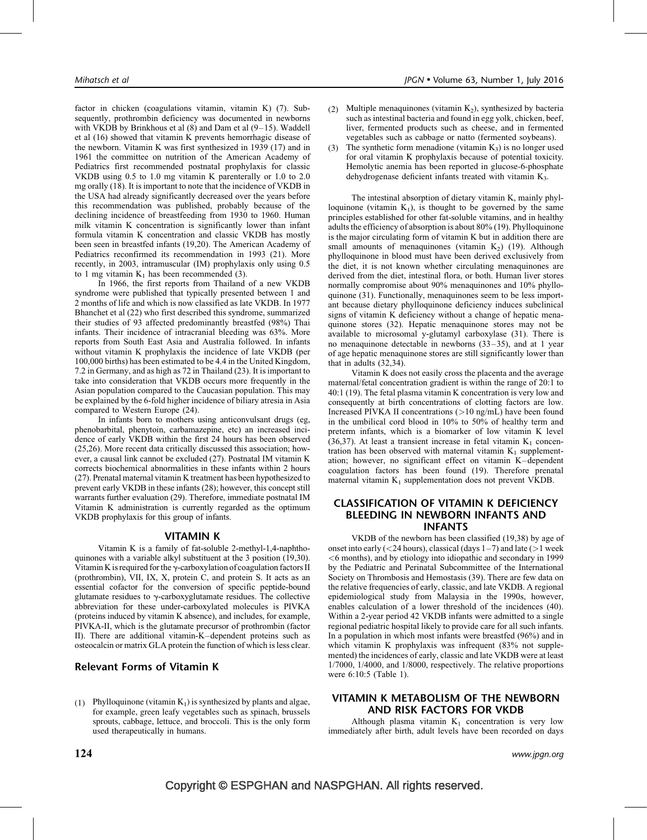factor in chicken (coagulations vitamin, vitamin K) (7). Subsequently, prothrombin deficiency was documented in newborns with VKDB by Brinkhous et al (8) and Dam et al (9–15). Waddell et al (16) showed that vitamin K prevents hemorrhagic disease of the newborn. Vitamin K was first synthesized in 1939 (17) and in 1961 the committee on nutrition of the American Academy of Pediatrics first recommended postnatal prophylaxis for classic VKDB using 0.5 to 1.0 mg vitamin K parenterally or 1.0 to 2.0 mg orally (18). It is important to note that the incidence of VKDB in the USA had already significantly decreased over the years before this recommendation was published, probably because of the declining incidence of breastfeeding from 1930 to 1960. Human milk vitamin K concentration is significantly lower than infant formula vitamin K concentration and classic VKDB has mostly been seen in breastfed infants (19,20). The American Academy of Pediatrics reconfirmed its recommendation in 1993 (21). More recently, in 2003, intramuscular (IM) prophylaxis only using 0.5 to 1 mg vitamin  $K_1$  has been recommended (3).

In 1966, the first reports from Thailand of a new VKDB syndrome were published that typically presented between 1 and 2 months of life and which is now classified as late VKDB. In 1977 Bhanchet et al (22) who first described this syndrome, summarized their studies of 93 affected predominantly breastfed (98%) Thai infants. Their incidence of intracranial bleeding was 63%. More reports from South East Asia and Australia followed. In infants without vitamin K prophylaxis the incidence of late VKDB (per 100,000 births) has been estimated to be 4.4 in the United Kingdom, 7.2 in Germany, and as high as 72 in Thailand (23). It is important to take into consideration that VKDB occurs more frequently in the Asian population compared to the Caucasian population. This may be explained by the 6-fold higher incidence of biliary atresia in Asia compared to Western Europe (24).

In infants born to mothers using anticonvulsant drugs (eg, phenobarbital, phenytoin, carbamazepine, etc) an increased incidence of early VKDB within the first 24 hours has been observed (25,26). More recent data critically discussed this association; however, a causal link cannot be excluded (27). Postnatal IM vitamin K corrects biochemical abnormalities in these infants within 2 hours (27). Prenatal maternal vitamin K treatment has been hypothesized to prevent early VKDB in these infants (28); however, this concept still warrants further evaluation (29). Therefore, immediate postnatal IM Vitamin K administration is currently regarded as the optimum VKDB prophylaxis for this group of infants.

#### VITAMIN K

Vitamin K is a family of fat-soluble 2-methyl-1,4-naphthoquinones with a variable alkyl substituent at the 3 position (19,30). Vitamin K is required for the  $\gamma$ -carboxylation of coagulation factors II (prothrombin), VII, IX, X, protein C, and protein S. It acts as an essential cofactor for the conversion of specific peptide-bound glutamate residues to  $\gamma$ -carboxyglutamate residues. The collective abbreviation for these under-carboxylated molecules is PIVKA (proteins induced by vitamin K absence), and includes, for example, PIVKA-II, which is the glutamate precursor of prothrombin (factor II). There are additional vitamin-K–dependent proteins such as osteocalcin or matrix GLA protein the function of which is less clear.

## Relevant Forms of Vitamin K

(1) Phylloquinone (vitamin  $K_1$ ) is synthesized by plants and algae, for example, green leafy vegetables such as spinach, brussels sprouts, cabbage, lettuce, and broccoli. This is the only form used therapeutically in humans.

- (2) Multiple menaquinones (vitamin  $K_2$ ), synthesized by bacteria such as intestinal bacteria and found in egg yolk, chicken, beef, liver, fermented products such as cheese, and in fermented vegetables such as cabbage or natto (fermented soybeans).
- (3) The synthetic form menadione (vitamin  $K_3$ ) is no longer used for oral vitamin K prophylaxis because of potential toxicity. Hemolytic anemia has been reported in glucose-6-phosphate dehydrogenase deficient infants treated with vitamin K<sub>3</sub>.

The intestinal absorption of dietary vitamin K, mainly phylloquinone (vitamin  $K_1$ ), is thought to be governed by the same principles established for other fat-soluble vitamins, and in healthy adults the efficiency of absorption is about 80% (19). Phylloquinone is the major circulating form of vitamin K but in addition there are small amounts of menaquinones (vitamin  $K<sub>2</sub>$ ) (19). Although phylloquinone in blood must have been derived exclusively from the diet, it is not known whether circulating menaquinones are derived from the diet, intestinal flora, or both. Human liver stores normally compromise about 90% menaquinones and 10% phylloquinone (31). Functionally, menaquinones seem to be less important because dietary phylloquinone deficiency induces subclinical signs of vitamin K deficiency without a change of hepatic menaquinone stores (32). Hepatic menaquinone stores may not be available to microsomal y-glutamyl carboxylase (31). There is no menaquinone detectable in newborns (33–35), and at 1 year of age hepatic menaquinone stores are still significantly lower than that in adults (32,34).

Vitamin K does not easily cross the placenta and the average maternal/fetal concentration gradient is within the range of 20:1 to 40:1 (19). The fetal plasma vitamin K concentration is very low and consequently at birth concentrations of clotting factors are low. Increased PIVKA II concentrations  $(>10 \text{ ng/mL})$  have been found in the umbilical cord blood in 10% to 50% of healthy term and preterm infants, which is a biomarker of low vitamin K level (36,37). At least a transient increase in fetal vitamin  $K_1$  concentration has been observed with maternal vitamin  $K_1$  supplementation; however, no significant effect on vitamin K–dependent coagulation factors has been found (19). Therefore prenatal maternal vitamin  $K_1$  supplementation does not prevent VKDB.

#### CLASSIFICATION OF VITAMIN K DEFICIENCY BLEEDING IN NEWBORN INFANTS AND INFANTS

VKDB of the newborn has been classified (19,38) by age of onset into early ( $\langle$ 24 hours), classical (days 1–7) and late ( $>$ 1 week <6 months), and by etiology into idiopathic and secondary in 1999 by the Pediatric and Perinatal Subcommittee of the International Society on Thrombosis and Hemostasis (39). There are few data on the relative frequencies of early, classic, and late VKDB. A regional epidemiological study from Malaysia in the 1990s, however, enables calculation of a lower threshold of the incidences (40). Within a 2-year period 42 VKDB infants were admitted to a single regional pediatric hospital likely to provide care for all such infants. In a population in which most infants were breastfed (96%) and in which vitamin K prophylaxis was infrequent (83% not supplemented) the incidences of early, classic and late VKDB were at least 1/7000, 1/4000, and 1/8000, respectively. The relative proportions were 6:10:5 (Table 1).

## VITAMIN K METABOLISM OF THE NEWBORN AND RISK FACTORS FOR VKDB

Although plasma vitamin  $K_1$  concentration is very low immediately after birth, adult levels have been recorded on days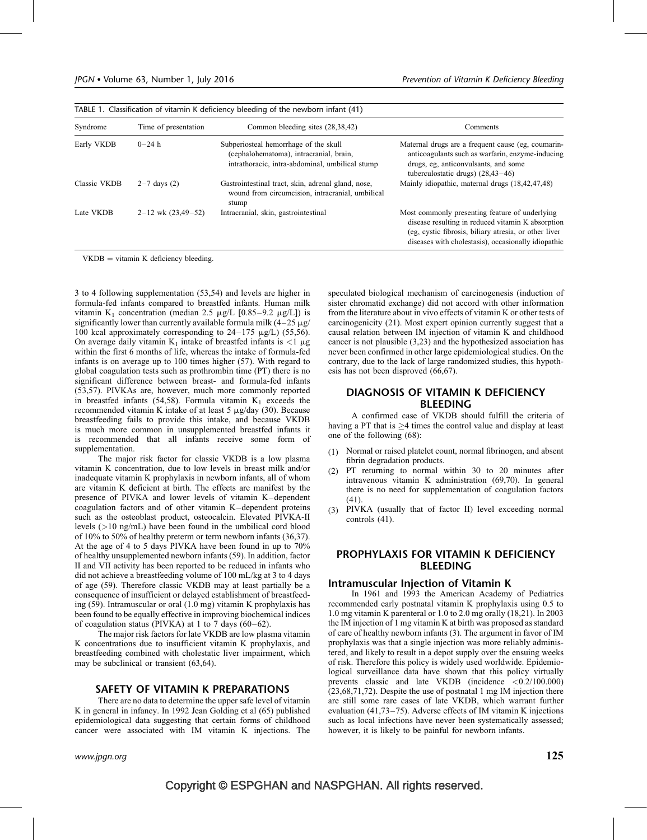| Syndrome     | Time of presentation   | Common bleeding sites (28,38,42)                                                                                                    | Comments                                                                                                                                                                                                            |
|--------------|------------------------|-------------------------------------------------------------------------------------------------------------------------------------|---------------------------------------------------------------------------------------------------------------------------------------------------------------------------------------------------------------------|
| Early VKDB   | $0 - 24 h$             | Subperiosteal hemorrhage of the skull<br>(cephalohematoma), intracranial, brain,<br>intrathoracic, intra-abdominal, umbilical stump | Maternal drugs are a frequent cause (eg, coumarin-<br>anticoagulants such as warfarin, enzyme-inducing<br>drugs, eg, anticonvulsants, and some<br>tuberculostatic drugs) $(28, 43 - 46)$                            |
| Classic VKDB | $2 - 7$ days (2)       | Gastrointestinal tract, skin, adrenal gland, nose,<br>wound from circumcision, intracranial, umbilical<br>stump                     | Mainly idiopathic, maternal drugs (18,42,47,48)                                                                                                                                                                     |
| Late VKDB    | $2-12$ wk $(23,49-52)$ | Intracranial, skin, gastrointestinal                                                                                                | Most commonly presenting feature of underlying<br>disease resulting in reduced vitamin K absorption<br>(eg, cystic fibrosis, biliary atresia, or other liver<br>diseases with cholestasis), occasionally idiopathic |

 $VKDB = vitamin K$  deficiency bleeding.

3 to 4 following supplementation (53,54) and levels are higher in formula-fed infants compared to breastfed infants. Human milk vitamin K<sub>1</sub> concentration (median 2.5  $\mu$ g/L [0.85–9.2  $\mu$ g/L]) is significantly lower than currently available formula milk  $(4-25 \mu g)$ 100 kcal approximately corresponding to  $24-175 \mu g/L$  (55,56). On average daily vitamin K<sub>1</sub> intake of breastfed infants is <1  $\mu$ g within the first 6 months of life, whereas the intake of formula-fed infants is on average up to 100 times higher (57). With regard to global coagulation tests such as prothrombin time (PT) there is no significant difference between breast- and formula-fed infants (53,57). PIVKAs are, however, much more commonly reported in breastfed infants (54,58). Formula vitamin  $K_1$  exceeds the recommended vitamin K intake of at least 5  $\mu$ g/day (30). Because breastfeeding fails to provide this intake, and because VKDB is much more common in unsupplemented breastfed infants it is recommended that all infants receive some form of supplementation.

The major risk factor for classic VKDB is a low plasma vitamin K concentration, due to low levels in breast milk and/or inadequate vitamin K prophylaxis in newborn infants, all of whom are vitamin K deficient at birth. The effects are manifest by the presence of PIVKA and lower levels of vitamin K–dependent coagulation factors and of other vitamin K–dependent proteins such as the osteoblast product, osteocalcin. Elevated PIVKA-II levels (>10 ng/mL) have been found in the umbilical cord blood of 10% to 50% of healthy preterm or term newborn infants (36,37). At the age of 4 to 5 days PIVKA have been found in up to 70% of healthy unsupplemented newborn infants (59). In addition, factor II and VII activity has been reported to be reduced in infants who did not achieve a breastfeeding volume of 100 mL/kg at 3 to 4 days of age (59). Therefore classic VKDB may at least partially be a consequence of insufficient or delayed establishment of breastfeeding (59). Intramuscular or oral (1.0 mg) vitamin K prophylaxis has been found to be equally effective in improving biochemical indices of coagulation status (PIVKA) at 1 to 7 days (60–62).

The major risk factors for late VKDB are low plasma vitamin K concentrations due to insufficient vitamin K prophylaxis, and breastfeeding combined with cholestatic liver impairment, which may be subclinical or transient (63,64).

## SAFETY OF VITAMIN K PREPARATIONS

There are no data to determine the upper safe level of vitamin K in general in infancy. In 1992 Jean Golding et al (65) published epidemiological data suggesting that certain forms of childhood cancer were associated with IM vitamin K injections. The speculated biological mechanism of carcinogenesis (induction of sister chromatid exchange) did not accord with other information from the literature about in vivo effects of vitamin K or other tests of carcinogenicity (21). Most expert opinion currently suggest that a causal relation between IM injection of vitamin K and childhood cancer is not plausible (3,23) and the hypothesized association has never been confirmed in other large epidemiological studies. On the contrary, due to the lack of large randomized studies, this hypothesis has not been disproved (66,67).

## DIAGNOSIS OF VITAMIN K DEFICIENCY BLEEDING

A confirmed case of VKDB should fulfill the criteria of having a PT that is  $>4$  times the control value and display at least one of the following (68):

- (1) Normal or raised platelet count, normal fibrinogen, and absent fibrin degradation products.
- (2) PT returning to normal within 30 to 20 minutes after intravenous vitamin K administration (69,70). In general there is no need for supplementation of coagulation factors (41).
- (3) PIVKA (usually that of factor II) level exceeding normal controls (41).

## PROPHYLAXIS FOR VITAMIN K DEFICIENCY **BI FEDING**

## Intramuscular Injection of Vitamin K

In 1961 and 1993 the American Academy of Pediatrics recommended early postnatal vitamin K prophylaxis using 0.5 to 1.0 mg vitamin K parenteral or 1.0 to 2.0 mg orally (18,21). In 2003 the IM injection of 1 mg vitamin K at birth was proposed as standard of care of healthy newborn infants (3). The argument in favor of IM prophylaxis was that a single injection was more reliably administered, and likely to result in a depot supply over the ensuing weeks of risk. Therefore this policy is widely used worldwide. Epidemiological surveillance data have shown that this policy virtually prevents classic and late VKDB (incidence <0.2/100.000) (23,68,71,72). Despite the use of postnatal 1 mg IM injection there are still some rare cases of late VKDB, which warrant further evaluation (41,73–75). Adverse effects of IM vitamin K injections such as local infections have never been systematically assessed; however, it is likely to be painful for newborn infants.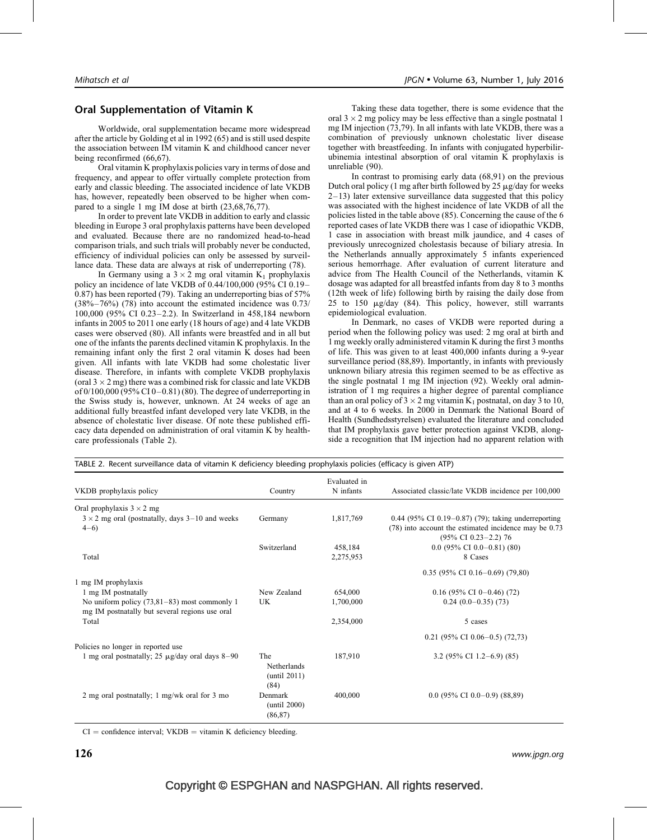## Oral Supplementation of Vitamin K

Worldwide, oral supplementation became more widespread after the article by Golding et al in 1992 (65) and is still used despite the association between IM vitamin K and childhood cancer never being reconfirmed (66,67).

Oral vitamin K prophylaxis policies vary in terms of dose and frequency, and appear to offer virtually complete protection from early and classic bleeding. The associated incidence of late VKDB has, however, repeatedly been observed to be higher when compared to a single 1 mg IM dose at birth (23,68,76,77).

In order to prevent late VKDB in addition to early and classic bleeding in Europe 3 oral prophylaxis patterns have been developed and evaluated. Because there are no randomized head-to-head comparison trials, and such trials will probably never be conducted, efficiency of individual policies can only be assessed by surveillance data. These data are always at risk of underreporting (78).

In Germany using a  $3 \times 2$  mg oral vitamin K<sub>1</sub> prophylaxis policy an incidence of late VKDB of 0.44/100,000 (95% CI 0.19– 0.87) has been reported (79). Taking an underreporting bias of 57%  $(38\% - 76\%)$  (78) into account the estimated incidence was 0.73/ 100,000 (95% CI 0.23–2.2). In Switzerland in 458,184 newborn infants in 2005 to 2011 one early (18 hours of age) and 4 late VKDB cases were observed (80). All infants were breastfed and in all but one of the infants the parents declined vitamin K prophylaxis. In the remaining infant only the first 2 oral vitamin K doses had been given. All infants with late VKDB had some cholestatic liver disease. Therefore, in infants with complete VKDB prophylaxis (oral  $3 \times 2$  mg) there was a combined risk for classic and late VKDB of 0/100,000 (95% CI 0–0.81) (80). The degree of underreporting in the Swiss study is, however, unknown. At 24 weeks of age an additional fully breastfed infant developed very late VKDB, in the absence of cholestatic liver disease. Of note these published efficacy data depended on administration of oral vitamin K by healthcare professionals (Table 2).

Taking these data together, there is some evidence that the oral  $3 \times 2$  mg policy may be less effective than a single postnatal 1 mg IM injection (73,79). In all infants with late VKDB, there was a combination of previously unknown cholestatic liver disease together with breastfeeding. In infants with conjugated hyperbilirubinemia intestinal absorption of oral vitamin K prophylaxis is unreliable (90).

In contrast to promising early data (68,91) on the previous Dutch oral policy (1 mg after birth followed by 25  $\mu$ g/day for weeks 2–13) later extensive surveillance data suggested that this policy was associated with the highest incidence of late VKDB of all the policies listed in the table above (85). Concerning the cause of the 6 reported cases of late VKDB there was 1 case of idiopathic VKDB, 1 case in association with breast milk jaundice, and 4 cases of previously unrecognized cholestasis because of biliary atresia. In the Netherlands annually approximately 5 infants experienced serious hemorrhage. After evaluation of current literature and advice from The Health Council of the Netherlands, vitamin K dosage was adapted for all breastfed infants from day 8 to 3 months (12th week of life) following birth by raising the daily dose from 25 to 150  $\mu$ g/day (84). This policy, however, still warrants epidemiological evaluation.

In Denmark, no cases of VKDB were reported during a period when the following policy was used: 2 mg oral at birth and 1 mg weekly orally administered vitamin K during the first 3 months of life. This was given to at least 400,000 infants during a 9-year surveillance period (88,89). Importantly, in infants with previously unknown biliary atresia this regimen seemed to be as effective as the single postnatal 1 mg IM injection (92). Weekly oral administration of 1 mg requires a higher degree of parental compliance than an oral policy of  $3 \times 2$  mg vitamin K<sub>1</sub> postnatal, on day 3 to 10, and at 4 to 6 weeks. In 2000 in Denmark the National Board of Health (Sundhedsstyrelsen) evaluated the literature and concluded that IM prophylaxis gave better protection against VKDB, alongside a recognition that IM injection had no apparent relation with

| VKDB prophylaxis policy                                                                          | Country                                    | Evaluated in<br>N infants | Associated classic/late VKDB incidence per 100,000                                                                                                               |
|--------------------------------------------------------------------------------------------------|--------------------------------------------|---------------------------|------------------------------------------------------------------------------------------------------------------------------------------------------------------|
| Oral prophylaxis $3 \times 2$ mg                                                                 |                                            |                           |                                                                                                                                                                  |
| $3 \times 2$ mg oral (postnatally, days 3–10 and weeks<br>$4-6$                                  | Germany                                    | 1,817,769                 | 0.44 $(95\% \text{ CI } 0.19 - 0.87)$ (79); taking underreporting<br>(78) into account the estimated incidence may be 0.73<br>$(95\% \text{ CI } 0.23 - 2.2)$ 76 |
|                                                                                                  | Switzerland                                | 458,184                   | $0.0$ (95% CI 0.0–0.81) (80)                                                                                                                                     |
| Total                                                                                            |                                            | 2,275,953                 | 8 Cases                                                                                                                                                          |
|                                                                                                  |                                            |                           | $0.35$ (95% CI 0.16-0.69) (79,80)                                                                                                                                |
| 1 mg IM prophylaxis                                                                              |                                            |                           |                                                                                                                                                                  |
| 1 mg IM postnatally                                                                              | New Zealand                                | 654,000                   | $0.16$ (95% CI 0-0.46) (72)                                                                                                                                      |
| No uniform policy $(73,81-83)$ most commonly 1<br>mg IM postnatally but several regions use oral | UK                                         | 1,700,000                 | $0.24$ (0.0–0.35) (73)                                                                                                                                           |
| Total                                                                                            |                                            | 2,354,000                 | 5 cases                                                                                                                                                          |
|                                                                                                  |                                            |                           | $0.21$ (95% CI 0.06-0.5) (72,73)                                                                                                                                 |
| Policies no longer in reported use                                                               |                                            |                           |                                                                                                                                                                  |
| 1 mg oral postnatally; 25 $\mu$ g/day oral days 8–90                                             | The<br>Netherlands<br>(until 2011)<br>(84) | 187,910                   | 3.2 (95% CI 1.2–6.9) (85)                                                                                                                                        |
| 2 mg oral postnatally; 1 mg/wk oral for 3 mo                                                     | Denmark<br>(until 2000)<br>(86, 87)        | 400,000                   | $0.0$ (95% CI 0.0–0.9) (88,89)                                                                                                                                   |

TABLE 2. Recent surveillance data of vitamin K deficiency bleeding prophylaxis policies (efficacy is given ATP)

 $CI =$  confidence interval;  $VKDB =$  vitamin K deficiency bleeding.

 $126 \,$  www.jpgn.org www.jpgn.org www.jp $\,$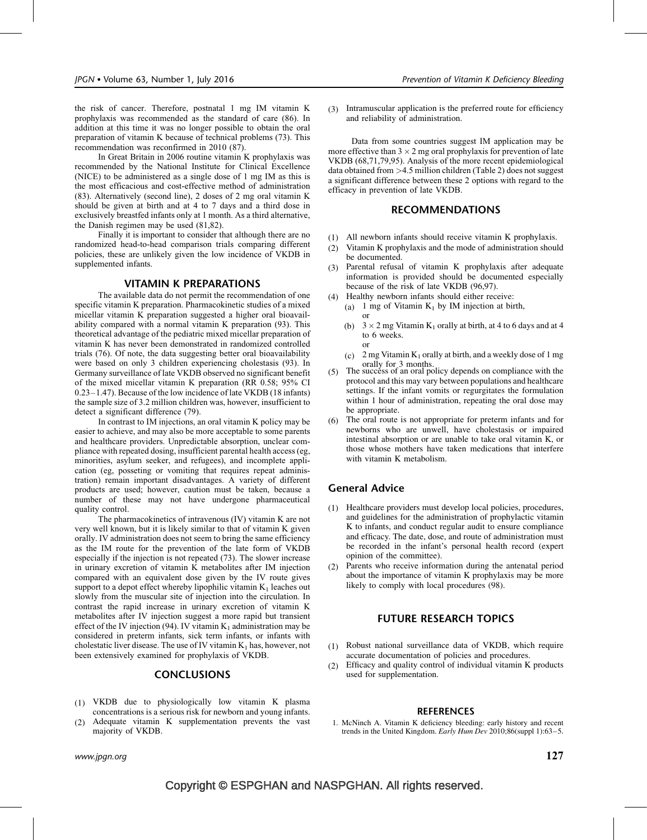the risk of cancer. Therefore, postnatal 1 mg IM vitamin K prophylaxis was recommended as the standard of care (86). In addition at this time it was no longer possible to obtain the oral preparation of vitamin K because of technical problems (73). This recommendation was reconfirmed in 2010 (87).

In Great Britain in 2006 routine vitamin K prophylaxis was recommended by the National Institute for Clinical Excellence (NICE) to be administered as a single dose of 1 mg IM as this is the most efficacious and cost-effective method of administration (83). Alternatively (second line), 2 doses of 2 mg oral vitamin K should be given at birth and at 4 to 7 days and a third dose in exclusively breastfed infants only at 1 month. As a third alternative, the Danish regimen may be used (81,82).

Finally it is important to consider that although there are no randomized head-to-head comparison trials comparing different policies, these are unlikely given the low incidence of VKDB in supplemented infants.

## VITAMIN K PREPARATIONS

The available data do not permit the recommendation of one specific vitamin K preparation. Pharmacokinetic studies of a mixed micellar vitamin K preparation suggested a higher oral bioavailability compared with a normal vitamin K preparation (93). This theoretical advantage of the pediatric mixed micellar preparation of vitamin K has never been demonstrated in randomized controlled trials (76). Of note, the data suggesting better oral bioavailability were based on only 3 children experiencing cholestasis (93). In Germany surveillance of late VKDB observed no significant benefit of the mixed micellar vitamin K preparation (RR 0.58; 95% CI 0.23–1.47). Because of the low incidence of late VKDB (18 infants) the sample size of 3.2 million children was, however, insufficient to detect a significant difference (79).

In contrast to IM injections, an oral vitamin K policy may be easier to achieve, and may also be more acceptable to some parents and healthcare providers. Unpredictable absorption, unclear compliance with repeated dosing, insufficient parental health access (eg, minorities, asylum seeker, and refugees), and incomplete application (eg, posseting or vomiting that requires repeat administration) remain important disadvantages. A variety of different products are used; however, caution must be taken, because a number of these may not have undergone pharmaceutical quality control.

The pharmacokinetics of intravenous (IV) vitamin K are not very well known, but it is likely similar to that of vitamin K given orally. IV administration does not seem to bring the same efficiency as the IM route for the prevention of the late form of VKDB especially if the injection is not repeated (73). The slower increase in urinary excretion of vitamin K metabolites after IM injection compared with an equivalent dose given by the IV route gives support to a depot effect whereby lipophilic vitamin  $K_1$  leaches out slowly from the muscular site of injection into the circulation. In contrast the rapid increase in urinary excretion of vitamin K metabolites after IV injection suggest a more rapid but transient effect of the IV injection (94). IV vitamin  $K_1$  administration may be considered in preterm infants, sick term infants, or infants with cholestatic liver disease. The use of IV vitamin  $K_1$  has, however, not been extensively examined for prophylaxis of VKDB.

## **CONCLUSIONS**

- (1) VKDB due to physiologically low vitamin K plasma concentrations is a serious risk for newborn and young infants.
- (2) Adequate vitamin K supplementation prevents the vast majority of VKDB.

(3) Intramuscular application is the preferred route for efficiency and reliability of administration.

Data from some countries suggest IM application may be more effective than  $3 \times 2$  mg oral prophylaxis for prevention of late VKDB (68,71,79,95). Analysis of the more recent epidemiological data obtained from >4.5 million children (Table 2) does not suggest a significant difference between these 2 options with regard to the efficacy in prevention of late VKDB.

#### RECOMMENDATIONS

- (1) All newborn infants should receive vitamin K prophylaxis.
- (2) Vitamin K prophylaxis and the mode of administration should be documented.
- (3) Parental refusal of vitamin K prophylaxis after adequate information is provided should be documented especially because of the risk of late VKDB (96,97).
- (4) Healthy newborn infants should either receive:
	- (a) 1 mg of Vitamin  $K_1$  by IM injection at birth, or
	- (b)  $3 \times 2$  mg Vitamin K<sub>1</sub> orally at birth, at 4 to 6 days and at 4 to 6 weeks. or
- (c)  $2 \text{ mg}$  Vitamin K<sub>1</sub> orally at birth, and a weekly dose of 1 mg orally for 3 months.<br>
(5) The success of an oral policy depends on compliance with the
- protocol and this may vary between populations and healthcare settings. If the infant vomits or regurgitates the formulation within 1 hour of administration, repeating the oral dose may be appropriate.
- (6) The oral route is not appropriate for preterm infants and for newborns who are unwell, have cholestasis or impaired intestinal absorption or are unable to take oral vitamin K, or those whose mothers have taken medications that interfere with vitamin K metabolism.

## General Advice

- (1) Healthcare providers must develop local policies, procedures, and guidelines for the administration of prophylactic vitamin K to infants, and conduct regular audit to ensure compliance and efficacy. The date, dose, and route of administration must be recorded in the infant's personal health record (expert opinion of the committee).
- (2) Parents who receive information during the antenatal period about the importance of vitamin K prophylaxis may be more likely to comply with local procedures (98).

## FUTURE RESEARCH TOPICS

- (1) Robust national surveillance data of VKDB, which require accurate documentation of policies and procedures.
- (2) Efficacy and quality control of individual vitamin K products used for supplementation.

#### **REFERENCES**

1. McNinch A. Vitamin K deficiency bleeding: early history and recent trends in the United Kingdom. Early Hum Dev 2010;86(suppl 1):63-5.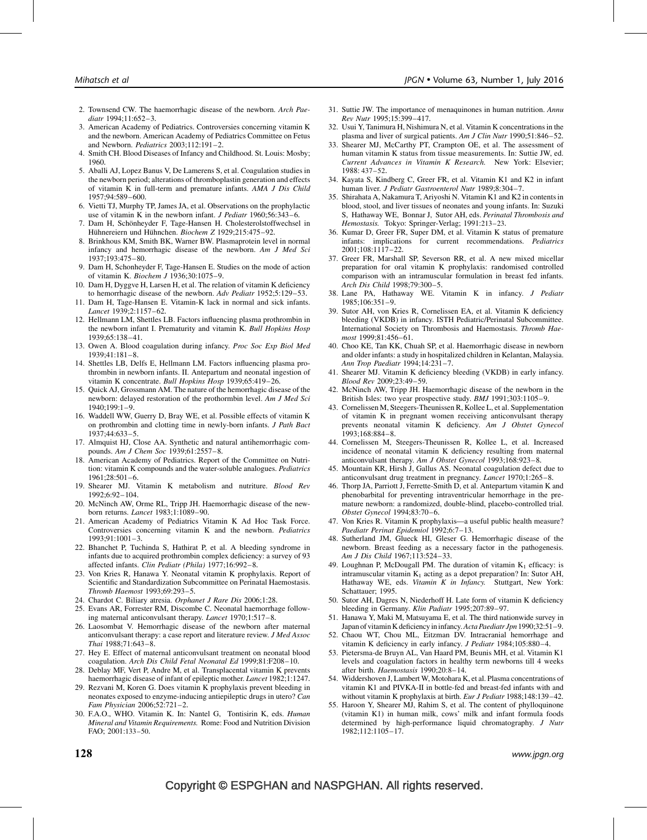- 2. Townsend CW. The haemorrhagic disease of the newborn. Arch Paediatr 1994;11:652–3.
- 3. American Academy of Pediatrics. Controversies concerning vitamin K and the newborn. American Academy of Pediatrics Committee on Fetus and Newborn. Pediatrics 2003;112:191–2.
- 4. Smith CH. Blood Diseases of Infancy and Childhood. St. Louis: Mosby; 1960.
- 5. Aballi AJ, Lopez Banus V, De Lamerens S, et al. Coagulation studies in the newborn period; alterations of thromboplastin generation and effects of vitamin  $\tilde{K}$  in full-term and premature infants. AMA J Dis Child 1957;94:589–600.
- 6. Vietti TJ, Murphy TP, James JA, et al. Observations on the prophylactic use of vitamin K in the newborn infant. J Pediatr 1960;56:343–6.
- 7. Dam H, Schönheyder F, Tage-Hansen H. Cholesterolstoffwechsel in Hühnereiern und Hühnchen. Biochem Z 1929;215:475-92.
- 8. Brinkhous KM, Smith BK, Warner BW. Plasmaprotein level in normal infancy and hemorrhagic disease of the newborn. Am J Med Sci 1937;193:475–80.
- 9. Dam H, Schonheyder F, Tage-Hansen E. Studies on the mode of action of vitamin K. Biochem J 1936;30:1075–9.
- 10. Dam H, Dyggve H, Larsen H, et al. The relation of vitamin K deficiency to hemorrhagic disease of the newborn. Adv Pediatr 1952;5:129–53.
- 11. Dam H, Tage-Hansen E. Vitamin-K lack in normal and sick infants. Lancet 1939;2:1157–62.
- 12. Hellmann LM, Shettles LB. Factors influencing plasma prothrombin in the newborn infant I. Prematurity and vitamin K. Bull Hopkins Hosp 1939;65:138–41.
- 13. Owen A. Blood coagulation during infancy. Proc Soc Exp Biol Med 1939;41:181–8.
- 14. Shettles LB, Delfs E, Hellmann LM. Factors influencing plasma prothrombin in newborn infants. II. Antepartum and neonatal ingestion of vitamin K concentrate. Bull Hopkins Hosp 1939;65:419–26.
- 15. Quick AJ, Grossmann AM. The nature of the hemorrhagic disease of the newborn: delayed restoration of the prothormbin level. Am J Med Sci 1940;199:1–9.
- 16. Waddell WW, Guerry D, Bray WE, et al. Possible effects of vitamin K on prothrombin and clotting time in newly-born infants. J Path Bact 1937;44:633–5.
- 17. Almquist HJ, Close AA. Synthetic and natural antihemorrhagic compounds. Am J Chem Soc 1939;61:2557–8.
- 18. American Academy of Pediatrics. Report of the Committee on Nutrition: vitamin K compounds and the water-soluble analogues. Pediatrics 1961;28:501–6.
- 19. Shearer MJ. Vitamin K metabolism and nutriture. Blood Rev 1992;6:92–104.
- 20. McNinch AW, Orme RL, Tripp JH. Haemorrhagic disease of the newborn returns. Lancet 1983;1:1089–90.
- 21. American Academy of Pediatrics Vitamin K Ad Hoc Task Force. Controversies concerning vitamin K and the newborn. Pediatrics 1993;91:1001–3.
- 22. Bhanchet P, Tuchinda S, Hathirat P, et al. A bleeding syndrome in infants due to acquired prothrombin complex deficiency: a survey of 93 affected infants. Clin Pediatr (Phila) 1977;16:992–8.
- 23. Von Kries R, Hanawa Y. Neonatal vitamin K prophylaxis. Report of Scientific and Standardization Subcommittee on Perinatal Haemostasis. Thromb Haemost 1993;69:293–5.
- 24. Chardot C. Biliary atresia. Orphanet J Rare Dis 2006;1:28.
- 25. Evans AR, Forrester RM, Discombe C. Neonatal haemorrhage following maternal anticonvulsant therapy. Lancet 1970;1:517-8.
- 26. Laosombat V. Hemorrhagic disease of the newborn after maternal anticonvulsant therapy: a case report and literature review. J Med Assoc Thai 1988;71:643–8.
- 27. Hey E. Effect of maternal anticonvulsant treatment on neonatal blood coagulation. Arch Dis Child Fetal Neonatal Ed 1999;81:F208–10.
- 28. Deblay MF, Vert P, Andre M, et al. Transplacental vitamin K prevents haemorrhagic disease of infant of epileptic mother. Lancet 1982;1:1247.
- 29. Rezvani M, Koren G. Does vitamin K prophylaxis prevent bleeding in neonates exposed to enzyme-inducing antiepileptic drugs in utero? Can Fam Physician 2006;52:721–2.
- 30. F.A.O., WHO. Vitamin K. In: Nantel G, Tontisirin K, eds. Human Mineral and Vitamin Requirements. Rome: Food and Nutrition Division FAO; 2001:133–50.
- 31. Suttie JW. The importance of menaquinones in human nutrition. Annu Rev Nutr 1995;15:399–417.
- 32. Usui Y, Tanimura H, Nishimura N, et al. Vitamin K concentrations in the plasma and liver of surgical patients. Am J Clin Nutr 1990;51:846–52.
- 33. Shearer MJ, McCarthy PT, Crampton OE, et al. The assessment of human vitamin K status from tissue measurements. In: Suttie JW, ed. Current Advances in Vitamin K Research. New York: Elsevier; 1988: 437–52.
- 34. Kayata S, Kindberg C, Greer FR, et al. Vitamin K1 and K2 in infant human liver. J Pediatr Gastroenterol Nutr 1989;8:304-7.
- 35. Shirahata A, Nakamura T, Ariyoshi N. Vitamin K1 and K2 in contents in blood, stool, and liver tissues of neonates and young infants. In: Suzuki S, Hathaway WE, Bonnar J, Sutor AH, eds. Perinatal Thrombosis and Hemostasis. Tokyo: Springer-Verlag; 1991:213–23.
- 36. Kumar D, Greer FR, Super DM, et al. Vitamin K status of premature infants: implications for current recommendations. Pediatrics 2001;108:1117–22.
- 37. Greer FR, Marshall SP, Severson RR, et al. A new mixed micellar preparation for oral vitamin K prophylaxis: randomised controlled comparison with an intramuscular formulation in breast fed infants. Arch Dis Child 1998;79:300–5.
- 38. Lane PA, Hathaway WE. Vitamin K in infancy. J Pediatr 1985;106:351–9.
- 39. Sutor AH, von Kries R, Cornelissen EA, et al. Vitamin K deficiency bleeding (VKDB) in infancy. ISTH Pediatric/Perinatal Subcommittee. International Society on Thrombosis and Haemostasis. Thromb Haemost 1999;81:456–61.
- 40. Choo KE, Tan KK, Chuah SP, et al. Haemorrhagic disease in newborn and older infants: a study in hospitalized children in Kelantan, Malaysia. Ann Trop Paediatr 1994;14:231–7.
- 41. Shearer MJ. Vitamin K deficiency bleeding (VKDB) in early infancy. Blood Rev 2009;23:49–59.
- 42. McNinch AW, Tripp JH. Haemorrhagic disease of the newborn in the British Isles: two year prospective study. BMJ 1991;303:1105–9.
- 43. Cornelissen M, Steegers-Theunissen R, Kollee L, et al. Supplementation of vitamin K in pregnant women receiving anticonvulsant therapy prevents neonatal vitamin K deficiency. Am J Obstet Gynecol 1993;168:884–8.
- 44. Cornelissen M, Steegers-Theunissen R, Kollee L, et al. Increased incidence of neonatal vitamin K deficiency resulting from maternal anticonvulsant therapy. Am J Obstet Gynecol 1993;168:923–8.
- 45. Mountain KR, Hirsh J, Gallus AS. Neonatal coagulation defect due to anticonvulsant drug treatment in pregnancy. Lancet 1970;1:265–8.
- 46. Thorp JA, Parriott J, Ferrette-Smith D, et al. Antepartum vitamin K and phenobarbital for preventing intraventricular hemorrhage in the premature newborn: a randomized, double-blind, placebo-controlled trial. Obstet Gynecol 1994;83:70–6.
- 47. Von Kries R. Vitamin K prophylaxis—a useful public health measure? Paediatr Perinat Epidemiol 1992;6:7–13.
- 48. Sutherland JM, Glueck HI, Gleser G. Hemorrhagic disease of the newborn. Breast feeding as a necessary factor in the pathogenesis. Am J Dis Child 1967;113:524–33.
- 49. Loughnan P, McDougall PM. The duration of vitamin  $K_1$  efficacy: is intramuscular vitamin  $K_1$  acting as a depot preparation? In: Sutor AH, Hathaway WE, eds. Vitamin  $K$  in Infancy. Stuttgart, New York: Schattauer; 1995.
- 50. Sutor AH, Dagres N, Niederhoff H. Late form of vitamin K deficiency bleeding in Germany. Klin Padiatr 1995;207:89–97.
- 51. Hanawa Y, Maki M, Matsuyama E, et al. The third nationwide survey in Japan of vitamin K deficiencyininfancy.Acta Paediatr Jpn 1990;32:51–9.
- 52. Chaou WT, Chou ML, Eitzman DV. Intracranial hemorrhage and vitamin K deficiency in early infancy. J Pediatr 1984;105:880–4.
- 53. Pietersma-de Bruyn AL, Van Haard PM, Beunis MH, et al. Vitamin K1 levels and coagulation factors in healthy term newborns till 4 weeks after birth. Haemostasis 1990;20:8–14.
- 54. Widdershoven J, Lambert W, Motohara K, et al. Plasma concentrations of vitamin K1 and PIVKA-II in bottle-fed and breast-fed infants with and without vitamin K prophylaxis at birth. Eur J Pediatr 1988;148:139–42.
- 55. Haroon Y, Shearer MJ, Rahim S, et al. The content of phylloquinone (vitamin K1) in human milk, cows' milk and infant formula foods determined by high-performance liquid chromatography. J Nutr 1982;112:1105–17.